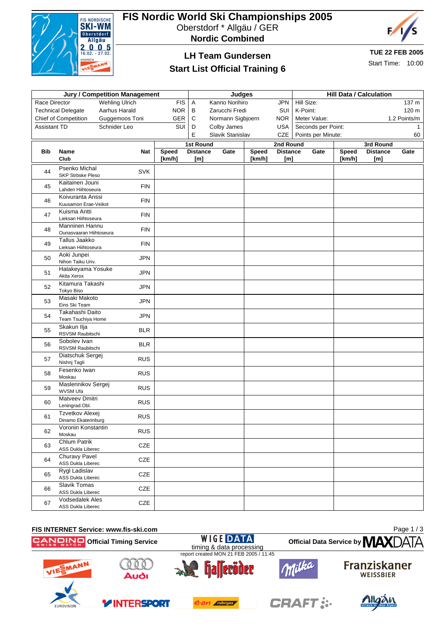

# **FIS Nordic World Ski Championships 2005**

Oberstdorf \* Allgäu / GER





## **LH Team Gundersen**

#### **Start List Official Training 6**

**TUE 22 FEB 2005**

Start Time: 10:00

| <b>Jury / Competition Management</b>                 |                                                    |                |            |                       |                                                    |              | <b>Hill Data / Calculation</b> |                                          |                     |        |                 |              |  |
|------------------------------------------------------|----------------------------------------------------|----------------|------------|-----------------------|----------------------------------------------------|--------------|--------------------------------|------------------------------------------|---------------------|--------|-----------------|--------------|--|
| <b>FIS</b><br>Race Director<br><b>Wehling Ulrich</b> |                                                    |                |            |                       | <b>Judges</b><br>Kanno Norihiro<br><b>JPN</b><br>Α |              |                                |                                          | Hill Size:<br>137 m |        |                 |              |  |
|                                                      | <b>Technical Delegate</b>                          | Aarhus Harald  | <b>NOR</b> | B                     | Zarucchi Fredi                                     |              | SUI                            | K-Point:                                 |                     |        |                 | 120 m        |  |
|                                                      | <b>Chief of Competition</b>                        | Guggemoos Toni | GER        | C                     | Normann Sigbjoern                                  |              | <b>NOR</b>                     |                                          | Meter Value:        |        |                 | 1.2 Points/m |  |
|                                                      |                                                    | Schnider Leo   | SUI        | D                     | Colby James                                        |              | USA                            |                                          |                     |        |                 | -1           |  |
|                                                      | <b>Assistant TD</b>                                |                |            | E<br>Slavik Stanislav |                                                    | CZE          |                                | Seconds per Point:<br>Points per Minute: |                     |        | 60              |              |  |
|                                                      |                                                    |                |            | <b>1st Round</b>      |                                                    |              | 2nd Round                      |                                          |                     |        | 3rd Round       |              |  |
| <b>Bib</b>                                           | Name                                               | <b>Nat</b>     | Speed      | <b>Distance</b>       | Gate                                               | <b>Speed</b> | <b>Distance</b>                |                                          | Gate                | Speed  | <b>Distance</b> | Gate         |  |
|                                                      | Club                                               |                | [km/h]     | [m]                   |                                                    | [km/h]       | [m]                            |                                          |                     | [km/h] | [m]             |              |  |
| 44                                                   | <b>Psenko Michal</b><br><b>SKP Strbske Pleso</b>   | <b>SVK</b>     |            |                       |                                                    |              |                                |                                          |                     |        |                 |              |  |
| 45                                                   | Kaitainen Jouni<br>Lahden Hiihtoseura              | <b>FIN</b>     |            |                       |                                                    |              |                                |                                          |                     |        |                 |              |  |
| 46                                                   | Koivuranta Anssi<br>Kuusamon Erae-Veikot           | <b>FIN</b>     |            |                       |                                                    |              |                                |                                          |                     |        |                 |              |  |
| 47                                                   | Kuisma Antti<br>Lieksan Hiihtoseura                | <b>FIN</b>     |            |                       |                                                    |              |                                |                                          |                     |        |                 |              |  |
| 48                                                   | Manninen Hannu<br>Ounasvaaran Hiihtoseura          | <b>FIN</b>     |            |                       |                                                    |              |                                |                                          |                     |        |                 |              |  |
| 49                                                   | Tallus Jaakko<br>Lieksan Hiihtoseura               | <b>FIN</b>     |            |                       |                                                    |              |                                |                                          |                     |        |                 |              |  |
| 50                                                   | Aoki Junpei<br>Nihon Taiku Unv.                    | <b>JPN</b>     |            |                       |                                                    |              |                                |                                          |                     |        |                 |              |  |
| 51                                                   | Hatakeyama Yosuke<br>Akita Xerox                   | <b>JPN</b>     |            |                       |                                                    |              |                                |                                          |                     |        |                 |              |  |
| 52                                                   | Kitamura Takashi<br><b>Tokyo Biso</b>              | <b>JPN</b>     |            |                       |                                                    |              |                                |                                          |                     |        |                 |              |  |
| 53                                                   | Masaki Makoto<br>Eins Ski Team                     | <b>JPN</b>     |            |                       |                                                    |              |                                |                                          |                     |        |                 |              |  |
| 54                                                   | Takahashi Daito<br>Team Tsuchiya Home              | <b>JPN</b>     |            |                       |                                                    |              |                                |                                          |                     |        |                 |              |  |
| 55                                                   | Skakun Ilja<br>RSVSM Raubitschi                    | <b>BLR</b>     |            |                       |                                                    |              |                                |                                          |                     |        |                 |              |  |
| 56                                                   | Sobolev Ivan<br>RSVSM Raubitschi                   | <b>BLR</b>     |            |                       |                                                    |              |                                |                                          |                     |        |                 |              |  |
| 57                                                   | Diatschuk Sergej<br>Nishnj Tagli                   | <b>RUS</b>     |            |                       |                                                    |              |                                |                                          |                     |        |                 |              |  |
| 58                                                   | Fesenko Iwan<br>Moskau                             | <b>RUS</b>     |            |                       |                                                    |              |                                |                                          |                     |        |                 |              |  |
| 59                                                   | Maslennikov Sergej<br>WVSM Ufa                     | <b>RUS</b>     |            |                       |                                                    |              |                                |                                          |                     |        |                 |              |  |
| 60                                                   | <b>Matveev Dmitri</b><br>Leningrad.Obl.            | <b>RUS</b>     |            |                       |                                                    |              |                                |                                          |                     |        |                 |              |  |
| 61                                                   | Tzvetkov Alexei<br>Dinamo Ekaterinburg             | <b>RUS</b>     |            |                       |                                                    |              |                                |                                          |                     |        |                 |              |  |
| 62                                                   | Voronin Konstantin<br>Moskau                       | <b>RUS</b>     |            |                       |                                                    |              |                                |                                          |                     |        |                 |              |  |
| 63                                                   | <b>Chlum Patrik</b><br>ASS Dukla Liberec           | CZE            |            |                       |                                                    |              |                                |                                          |                     |        |                 |              |  |
| 64                                                   | Churavy Pavel<br>ASS Dukla Liberec                 | CZE            |            |                       |                                                    |              |                                |                                          |                     |        |                 |              |  |
| 65                                                   | Rygl Ladislav<br>ASS Dukla Liberec                 | CZE            |            |                       |                                                    |              |                                |                                          |                     |        |                 |              |  |
| 66                                                   | Slavik Tomas<br>ASS Dukla Liberec                  | CZE            |            |                       |                                                    |              |                                |                                          |                     |        |                 |              |  |
| 67                                                   | <b>Vodsedalek Ales</b><br><b>ASS Dukla Liberec</b> | CZE            |            |                       |                                                    |              |                                |                                          |                     |        |                 |              |  |

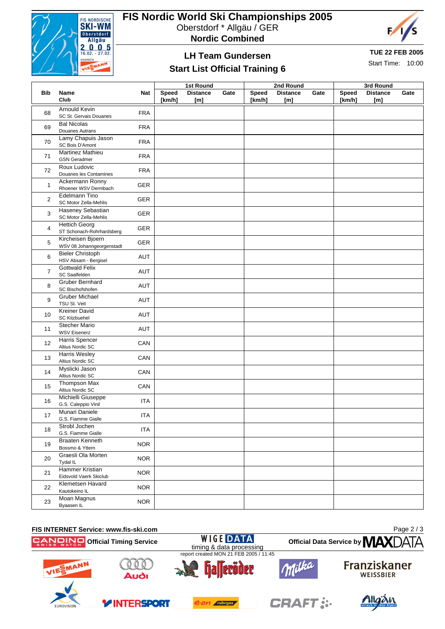

**Bib Name**

## **FIS Nordic World Ski Championships 2005**

Oberstdorf \* Allgäu / GER





**TUE 22 FEB 2005**

Start Time: 10:00

### **LH Team Gundersen Start List Official Training 6**

**Nat**

**Speed Distance** 

| <b>1st Round</b>       |      |                 | 2nd Round              |      | 3rd Round              |                        |      |  |  |
|------------------------|------|-----------------|------------------------|------|------------------------|------------------------|------|--|--|
| <b>Distance</b><br>[m] | Gate | Speed<br>[km/h] | <b>Distance</b><br>[m] | Gate | <b>Speed</b><br>[km/h] | <b>Distance</b><br>[m] | Gate |  |  |
|                        |      |                 |                        |      |                        |                        |      |  |  |
|                        |      |                 |                        |      |                        |                        |      |  |  |
|                        |      |                 |                        |      |                        |                        |      |  |  |
|                        |      |                 |                        |      |                        |                        |      |  |  |

|                | Club                                                  |            | [km/h] | [m] | [km/h] | [m] | [km/h] | [m] |
|----------------|-------------------------------------------------------|------------|--------|-----|--------|-----|--------|-----|
| 68             | <b>Arnould Kevin</b><br>SC St. Gervais Douanes        | <b>FRA</b> |        |     |        |     |        |     |
| 69             | <b>Bal Nicolas</b><br>Douanes Autrans                 | <b>FRA</b> |        |     |        |     |        |     |
| 70             | Lamy Chapuis Jason<br>SC Bois D'Amont                 | <b>FRA</b> |        |     |        |     |        |     |
| 71             | <b>Martinez Mathieu</b><br><b>GSN</b> Geradmer        | <b>FRA</b> |        |     |        |     |        |     |
| 72             | Roux Ludovic<br>Douanes les Contamines                | <b>FRA</b> |        |     |        |     |        |     |
| $\mathbf{1}$   | Ackermann Ronny<br>Rhoener WSV Dermbach               | GER        |        |     |        |     |        |     |
| $\overline{2}$ | <b>Edelmann Tino</b><br>SC Motor Zella-Mehlis         | <b>GER</b> |        |     |        |     |        |     |
| 3              | <b>Haseney Sebastian</b><br>SC Motor Zella-Mehlis     | <b>GER</b> |        |     |        |     |        |     |
| $\overline{4}$ | <b>Hettich Georg</b><br>ST Schonach-Rohrhardsberg     | <b>GER</b> |        |     |        |     |        |     |
| 5              | Kircheisen Bjoern<br>WSV 08 Johanngeorgenstadt        | <b>GER</b> |        |     |        |     |        |     |
| 6              | <b>Bieler Christoph</b><br>HSV Absam - Bergisel       | <b>AUT</b> |        |     |        |     |        |     |
| $\overline{7}$ | <b>Gottwald Felix</b><br>SC Saalfelden                | <b>AUT</b> |        |     |        |     |        |     |
| 8              | Gruber Bernhard<br>SC Bischofshofen                   | AUT        |        |     |        |     |        |     |
| 9              | <b>Gruber Michael</b><br>TSU St. Veit                 | AUT        |        |     |        |     |        |     |
| 10             | <b>Kreiner David</b><br><b>SC Kitzbuehel</b>          | AUT        |        |     |        |     |        |     |
| 11             | <b>Stecher Mario</b><br><b>WSV Eisenerz</b>           | <b>AUT</b> |        |     |        |     |        |     |
| 12             | Harris Spencer<br>Altius Nordic SC                    | CAN        |        |     |        |     |        |     |
| 13             | <b>Harris Wesley</b><br>Altius Nordic SC              | CAN        |        |     |        |     |        |     |
| 14             | Myslicki Jason<br>Altius Nordic SC                    | CAN        |        |     |        |     |        |     |
| 15             | Thompson Max<br>Altius Nordic SC                      | CAN        |        |     |        |     |        |     |
| 16             | Michielli Giuseppe<br>G.S. Caleppio Vinil             | <b>ITA</b> |        |     |        |     |        |     |
| 17             | Munari Daniele<br>G.S. Fiamme Gialle<br>Strobl Jochen | <b>ITA</b> |        |     |        |     |        |     |
| 18             | G.S. Fiamme Gialle                                    | <b>ITA</b> |        |     |        |     |        |     |
| 19             | <b>Braaten Kenneth</b><br>Bossmo & Yttern             | <b>NOR</b> |        |     |        |     |        |     |
| 20             | Graesli Ola Morten<br>Tydal IL                        | <b>NOR</b> |        |     |        |     |        |     |
| 21             | Hammer Kristian<br>Eidsvold Vaerk Skiclub             | <b>NOR</b> |        |     |        |     |        |     |
| 22             | Klemetsen Havard<br>Kautokeino IL                     | <b>NOR</b> |        |     |        |     |        |     |
| 23             | Moan Magnus<br>Byaasen IL                             | <b>NOR</b> |        |     |        |     |        |     |